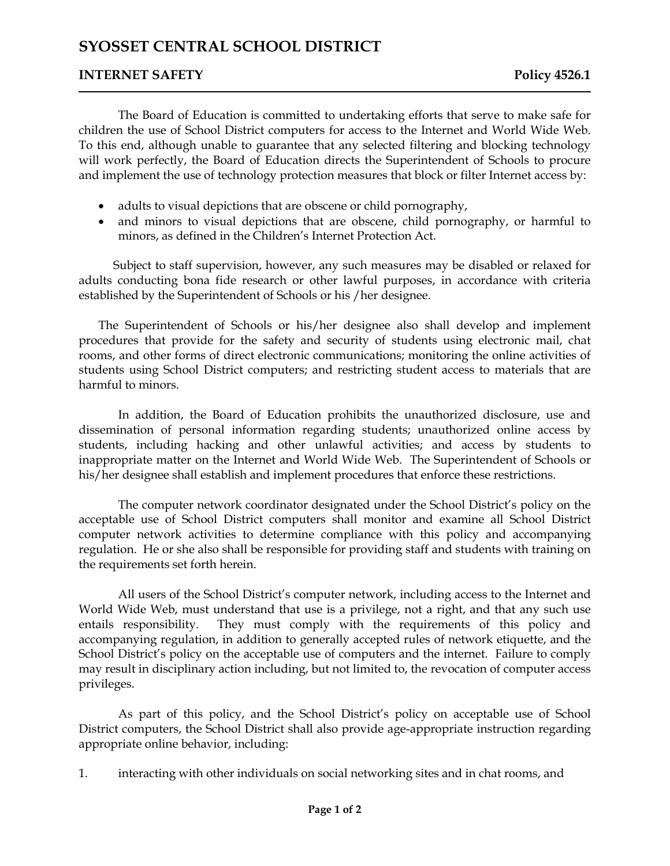## **INTERNET SAFETY** Policy 4526.1

The Board of Education is committed to undertaking efforts that serve to make safe for children the use of School District computers for access to the Internet and World Wide Web. To this end, although unable to guarantee that any selected filtering and blocking technology will work perfectly, the Board of Education directs the Superintendent of Schools to procure and implement the use of technology protection measures that block or filter Internet access by:

- adults to visual depictions that are obscene or child pornography,
- and minors to visual depictions that are obscene, child pornography, or harmful to minors, as defined in the Children's Internet Protection Act.

Subject to staff supervision, however, any such measures may be disabled or relaxed for adults conducting bona fide research or other lawful purposes, in accordance with criteria established by the Superintendent of Schools or his /her designee.

The Superintendent of Schools or his/her designee also shall develop and implement procedures that provide for the safety and security of students using electronic mail, chat rooms, and other forms of direct electronic communications; monitoring the online activities of students using School District computers; and restricting student access to materials that are harmful to minors.

In addition, the Board of Education prohibits the unauthorized disclosure, use and dissemination of personal information regarding students; unauthorized online access by students, including hacking and other unlawful activities; and access by students to inappropriate matter on the Internet and World Wide Web. The Superintendent of Schools or his/her designee shall establish and implement procedures that enforce these restrictions.

The computer network coordinator designated under the School District's policy on the acceptable use of School District computers shall monitor and examine all School District computer network activities to determine compliance with this policy and accompanying regulation. He or she also shall be responsible for providing staff and students with training on the requirements set forth herein.

All users of the School District's computer network, including access to the Internet and World Wide Web, must understand that use is a privilege, not a right, and that any such use entails responsibility. They must comply with the requirements of this policy and accompanying regulation, in addition to generally accepted rules of network etiquette, and the School District's policy on the acceptable use of computers and the internet. Failure to comply may result in disciplinary action including, but not limited to, the revocation of computer access privileges.

As part of this policy, and the School District's policy on acceptable use of School District computers, the School District shall also provide age-appropriate instruction regarding appropriate online behavior, including:

1. interacting with other individuals on social networking sites and in chat rooms, and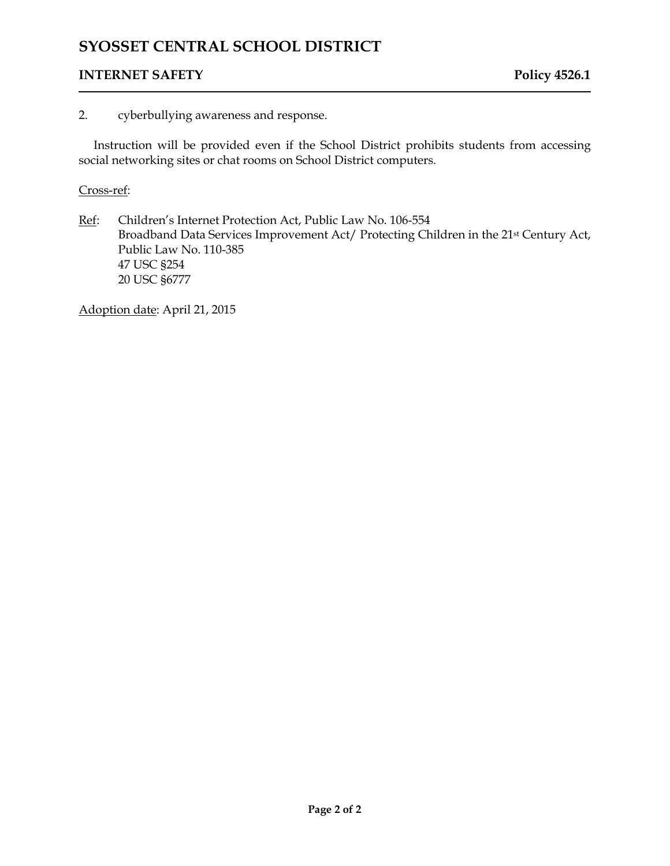# **INTERNET SAFETY** Policy 4526.1

### 2. cyberbullying awareness and response.

Instruction will be provided even if the School District prohibits students from accessing social networking sites or chat rooms on School District computers.

#### Cross-ref:

Ref: Children's Internet Protection Act, Public Law No. 106-554 Broadband Data Services Improvement Act/ Protecting Children in the 21st Century Act, Public Law No. 110-385 47 USC §254 20 USC §6777

Adoption date: April 21, 2015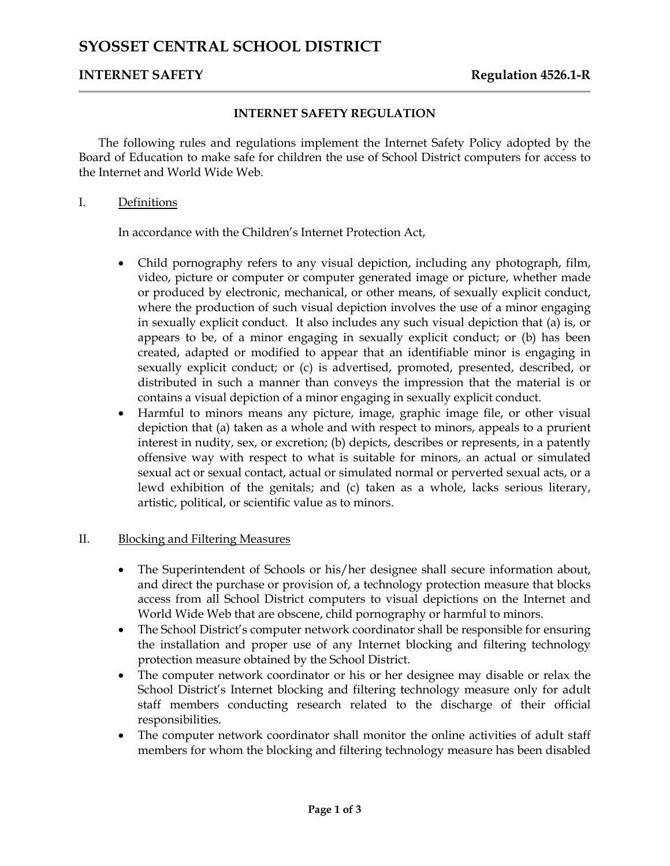# **INTERNET SAFETY Regulation 4526.1-R**

### **INTERNET SAFETY REGULATION**

The following rules and regulations implement the Internet Safety Policy adopted by the Board of Education to make safe for children the use of School District computers for access to the Internet and World Wide Web.

#### I. Definitions

In accordance with the Children's Internet Protection Act,

- Child pornography refers to any visual depiction, including any photograph, film, video, picture or computer or computer generated image or picture, whether made or produced by electronic, mechanical, or other means, of sexually explicit conduct, where the production of such visual depiction involves the use of a minor engaging in sexually explicit conduct. It also includes any such visual depiction that (a) is, or appears to be, of a minor engaging in sexually explicit conduct; or (b) has been created, adapted or modified to appear that an identifiable minor is engaging in sexually explicit conduct; or (c) is advertised, promoted, presented, described, or distributed in such a manner than conveys the impression that the material is or contains a visual depiction of a minor engaging in sexually explicit conduct.
- Harmful to minors means any picture, image, graphic image file, or other visual depiction that (a) taken as a whole and with respect to minors, appeals to a prurient interest in nudity, sex, or excretion; (b) depicts, describes or represents, in a patently offensive way with respect to what is suitable for minors, an actual or simulated sexual act or sexual contact, actual or simulated normal or perverted sexual acts, or a lewd exhibition of the genitals; and (c) taken as a whole, lacks serious literary, artistic, political, or scientific value as to minors.

## II. Blocking and Filtering Measures

- The Superintendent of Schools or his/her designee shall secure information about, and direct the purchase or provision of, a technology protection measure that blocks access from all School District computers to visual depictions on the Internet and World Wide Web that are obscene, child pornography or harmful to minors.
- The School District's computer network coordinator shall be responsible for ensuring the installation and proper use of any Internet blocking and filtering technology protection measure obtained by the School District.
- The computer network coordinator or his or her designee may disable or relax the School District's Internet blocking and filtering technology measure only for adult staff members conducting research related to the discharge of their official responsibilities.
- The computer network coordinator shall monitor the online activities of adult staff members for whom the blocking and filtering technology measure has been disabled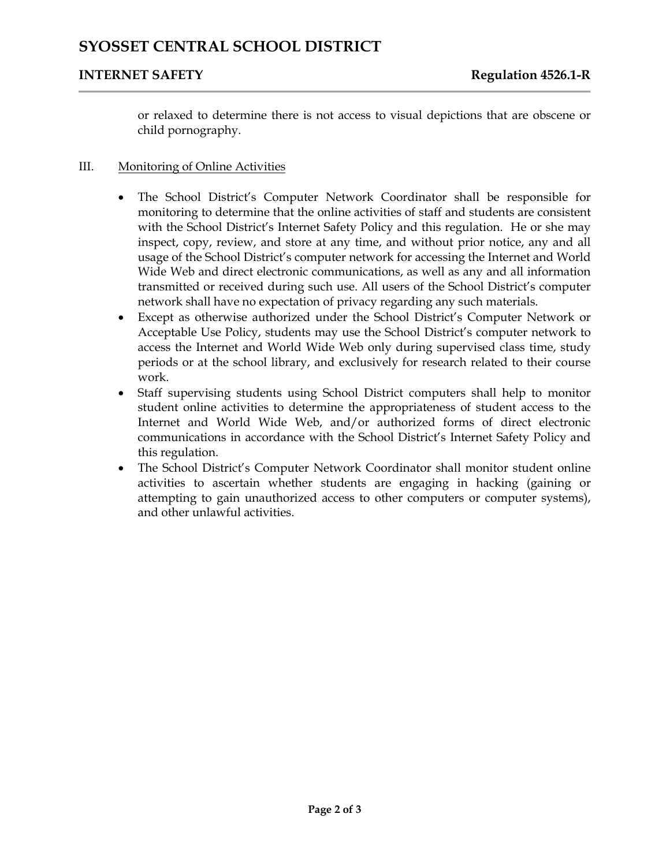# **INTERNET SAFETY Regulation 4526.1-R**

or relaxed to determine there is not access to visual depictions that are obscene or child pornography.

### III. Monitoring of Online Activities

- The School District's Computer Network Coordinator shall be responsible for monitoring to determine that the online activities of staff and students are consistent with the School District's Internet Safety Policy and this regulation. He or she may inspect, copy, review, and store at any time, and without prior notice, any and all usage of the School District's computer network for accessing the Internet and World Wide Web and direct electronic communications, as well as any and all information transmitted or received during such use. All users of the School District's computer network shall have no expectation of privacy regarding any such materials.
- Except as otherwise authorized under the School District's Computer Network or Acceptable Use Policy, students may use the School District's computer network to access the Internet and World Wide Web only during supervised class time, study periods or at the school library, and exclusively for research related to their course work.
- Staff supervising students using School District computers shall help to monitor student online activities to determine the appropriateness of student access to the Internet and World Wide Web, and/or authorized forms of direct electronic communications in accordance with the School District's Internet Safety Policy and this regulation.
- The School District's Computer Network Coordinator shall monitor student online activities to ascertain whether students are engaging in hacking (gaining or attempting to gain unauthorized access to other computers or computer systems), and other unlawful activities.